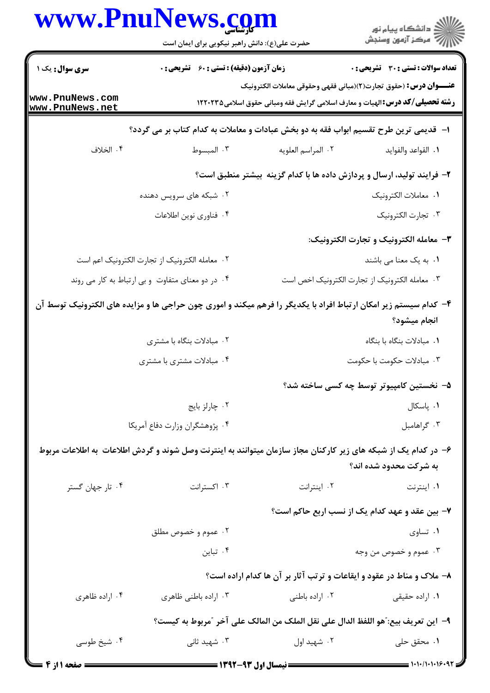|                                                  | www.PnuNews.com<br>حضرت علی(ع): دانش راهبر نیکویی برای ایمان است                                                 |                                                                                     | ِ<br>∭ دانشڪاه پيام نور<br>∭ مرڪز آزمون وسنڊش                                                                                                                   |
|--------------------------------------------------|------------------------------------------------------------------------------------------------------------------|-------------------------------------------------------------------------------------|-----------------------------------------------------------------------------------------------------------------------------------------------------------------|
| <b>سری سوال :</b> یک ۱                           | زمان آزمون (دقیقه) : تستی : 60 ٪ تشریحی : 0                                                                      |                                                                                     | تعداد سوالات : تستي : 30 ٪ تشريحي : 0                                                                                                                           |
| www.PnuNews.com<br>www.PnuNews.net               |                                                                                                                  |                                                                                     | <b>عنـــوان درس:</b> (حقوق تجارت(٢)(مباني فقهي وحقوقي معاملات الكترونيك<br><b>رشته تحصیلی/گد درس:</b> الهیات و معارف اسلامی گرایش فقه ومبانی حقوق اسلامی۱۲۲۰۲۳۵ |
|                                                  | ا– قدیمی ترین طرح تقسیم ابواب فقه به دو بخش عبادات و معاملات به کدام کتاب بر می گردد؟                            |                                                                                     |                                                                                                                                                                 |
| ۰۴ الخلاف                                        | ۰۳ المبسوط                                                                                                       | ٢. المراسم العلويه                                                                  | ٠١. القواعد والفوايد                                                                                                                                            |
|                                                  |                                                                                                                  | ۲- فرایند تولید، ارسال و پردازش داده ها با کدام گزینه بیشتر منطبق است؟              |                                                                                                                                                                 |
|                                                  | ۲. شبکه های سرویس دهنده                                                                                          |                                                                                     | ٠١. معاملات الكترونيك                                                                                                                                           |
|                                                  | ۰۴ فناوري نوين اطلاعات                                                                                           |                                                                                     | ٠٣ تجارت الكترونيك                                                                                                                                              |
|                                                  |                                                                                                                  |                                                                                     | ۳– معامله الكترونيك و تجارت الكترونيك:                                                                                                                          |
|                                                  | ٠٢ معامله الكترونيك از تجارت الكترونيك اعم است                                                                   | ٠١. به یک معنا می باشند                                                             |                                                                                                                                                                 |
| ۰۴ در دو معنای متفاوت و بی ارتباط به کار می روند |                                                                                                                  |                                                                                     | ۰۳ معامله الكترونيك از تجارت الكترونيك اخص است                                                                                                                  |
|                                                  | ۴- کدام سیستم زیر امکان ارتباط افراد با یکدیگر را فرهم میکند و اموری چون حراجی ها و مزایده های الکترونیک توسط آن |                                                                                     | انجام ميشود؟                                                                                                                                                    |
|                                                  | ۰۲ مبادلات بنگاه با مشتری                                                                                        |                                                                                     | ٠١ مبادلات بنگاه با بنگاه                                                                                                                                       |
|                                                  | ۰۴ مبادلات مشتری با مشتری                                                                                        |                                                                                     | ۰۳ مبادلات حکومت با حکومت                                                                                                                                       |
|                                                  |                                                                                                                  |                                                                                     | ۵– نخستین کامپیوتر توسط چه کسی ساخته شد؟                                                                                                                        |
|                                                  | ٠٢ چارلز بايج                                                                                                    |                                                                                     | ۰۱ پاسکال                                                                                                                                                       |
|                                                  | ۰۴ پژوهشگران وزارت دفاع آمريكا                                                                                   |                                                                                     | ۰۳ گراهامبل                                                                                                                                                     |
|                                                  | ۶– در کدام یک از شبکه های زیر کارکنان مجاز سازمان میتوانند به اینترنت وصل شوند و گردش اطلاعات به اطلاعات مربوط   |                                                                                     |                                                                                                                                                                 |
|                                                  |                                                                                                                  |                                                                                     | به شرکت محدود شده اند؟                                                                                                                                          |
| ۰۴ تار جهان گستر                                 | ۰۳ اکسترانت                                                                                                      | ۰۲ اینترانت                                                                         | ۰۱ اینترنت                                                                                                                                                      |
|                                                  |                                                                                                                  |                                                                                     | ۷- بین عقد و عهد کدام یک از نسب اربع حاکم است؟                                                                                                                  |
|                                                  | ۰۲ عموم و خصوص مطلق                                                                                              |                                                                                     | ۰۱ تساوی                                                                                                                                                        |
|                                                  | ۰۴ تباین                                                                                                         |                                                                                     | ۰۳ عموم و خصوص من وجه                                                                                                                                           |
|                                                  |                                                                                                                  | ۸– ملاک و مناط در عقود و ایقاعات و ترتب آثار بر آن ها کدام اراده است؟               |                                                                                                                                                                 |
| ۰۴ اراده ظاهری                                   | ۰۳ اراده باطني ظاهري                                                                                             | ٠٢ اراده باطنى                                                                      | ۰۱ اراده حقیقی                                                                                                                                                  |
|                                                  |                                                                                                                  | ٩–  اين تعريف بيع: ّهو اللفظ الدال على نقل الملك من المالك على آخر  ّمربوط به كيست؟ |                                                                                                                                                                 |
| ۰۴ شیخ طوسی                                      | ۰۳ شهید ثانی                                                                                                     | ۰۲ شهید اول                                                                         | ۰۱ محقق حلی                                                                                                                                                     |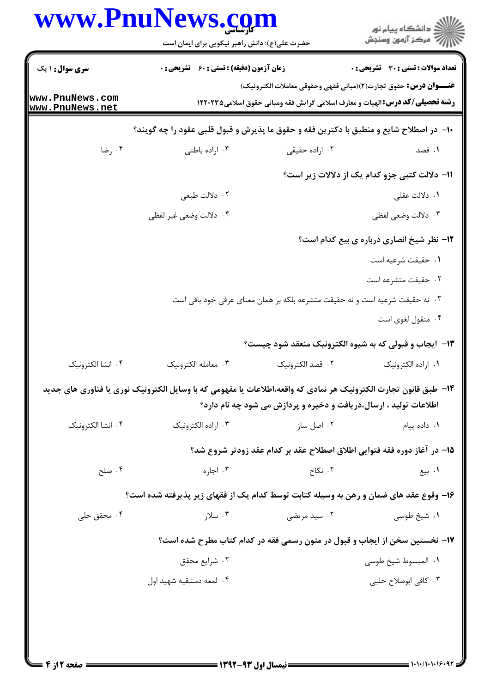|                                    | www.PnuNews.com<br>حضرت علی(ع): دانش راهبر نیکویی برای ایمان است                                                |                                                                   | ڪ دانشڪاه پيا <sub>م</sub> نور<br>∕7 مرڪز آزمون وسنڊش                                 |
|------------------------------------|-----------------------------------------------------------------------------------------------------------------|-------------------------------------------------------------------|---------------------------------------------------------------------------------------|
| <b>سری سوال : ۱ یک</b>             | <b>زمان آزمون (دقیقه) : تستی : 60 ٪ تشریحی : 0</b>                                                              |                                                                   | <b>تعداد سوالات : تستي : 30 ٪ تشريحي : 0</b>                                          |
|                                    |                                                                                                                 |                                                                   | <b>عنـــوان درس:</b> حقوق تجارت(٢)(مباني فقهي وحقوقي معاملات الكترونيك)               |
| www.PnuNews.com<br>www.PnuNews.net |                                                                                                                 |                                                                   | <b>رشته تحصیلی/کد درس: ا</b> لهیات و معارف اسلامی گرایش فقه ومبانی حقوق اسلامی1۲۲۰۲۳۵ |
|                                    | ∙ا− در اصطلاح شایع و منطبق با دکترین فقه و حقوق ما پذیرش و قبول قلبی عقود را چه گویند؟                          |                                                                   |                                                                                       |
| ۰۴ رضا                             | ۰۳ اراده باطنی                                                                                                  | ۰۲ اراده حقیقی                                                    | ۰۱ قصد                                                                                |
|                                    |                                                                                                                 |                                                                   | 11- دلالت کتبی جزو کدام یک از دلالات زیر است؟                                         |
|                                    | ۰۲ دلالت طبعي                                                                                                   |                                                                   | ۰۱ دلالت عقلی                                                                         |
|                                    | ۰۴ دلالت وضعي غير لفظي                                                                                          |                                                                   | ۰۳ دلالت وضعی لفظی                                                                    |
|                                    |                                                                                                                 |                                                                   | 12- نظر شیخ انصاری درباره ی بیع کدام است؟                                             |
|                                    |                                                                                                                 |                                                                   | ٠١ حقيقت شرعيه است                                                                    |
|                                    |                                                                                                                 |                                                                   | ۰۲ حقیقت متشرعه است                                                                   |
|                                    | ۰۳ نه حقیقت شرعیه است و نه حقیقت متشرعه بلکه بر همان معنای عرفی خود باقی است                                    |                                                                   |                                                                                       |
|                                    |                                                                                                                 |                                                                   | ۰۴ منقول لغوی است                                                                     |
|                                    |                                                                                                                 |                                                                   | <b>۱۳</b> - ایجاب و قبولی که به شیوه الکترونیک منعقد شود چیست؟                        |
| ۴. انشا الكترونيك                  | ۰۳ معامله الكترونيك                                                                                             | ٢. قصد الكترونيك                                                  | ٠١. اراده الكترونيك                                                                   |
|                                    | ۱۴– طبق قانون تجارت الكترونيك هر نمادي كه واقعه،اطلاعات يا مفهومي كه با وسايل الكترونيك نوري يا فناوري هاي جديد | اطلاعات تولید ، ارسال،دریافت و دخیره و پردازش می شود چه نام دارد؟ |                                                                                       |
| ۰۴ انشا الكترونيك                  | ۰۳ اراده الکترونیک                                                                                              | ۰۲ اصل ساز                                                        | ۰۱ داده پیام                                                                          |
|                                    |                                                                                                                 |                                                                   | ۱۵– در آغاز دوره فقه فتوایی اطلاق اصطلاح عقد بر کدام عقد زودتر شروع شد؟               |
| ۰۴ صلح                             | ۰۳ اجاره                                                                                                        | ۰۲ نکاح                                                           | ۰۱ بیع                                                                                |
|                                    | ۱۶– وقوع عقد های ضمان و رهن به وسیله کتابت توسط کدام یک از فقهای زیر پذیرفته شده است؟                           |                                                                   |                                                                                       |
| ۰۴ محقق حلی                        | ۰۳ سلار                                                                                                         | ۰۲ سید مرتضی                                                      | ۰۱ شیخ طوسی                                                                           |
|                                    |                                                                                                                 |                                                                   | ۱۷- نخستین سخن از ایجاب و قبول در متون رسمی فقه در کدام کتاب مطرح شده است؟            |
|                                    | ۰۲ شرايع محقق                                                                                                   |                                                                   | ٠١. المبسوط شيخ طوسي                                                                  |
|                                    | ۰۴ لمعه دمشقيه شهيد اول                                                                                         |                                                                   | ۰۳ کافی ابوصلاح حلبی                                                                  |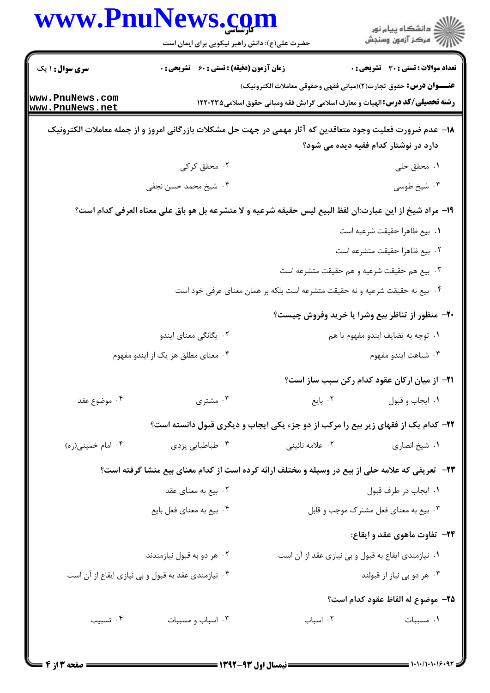|                                    | www.PnuNews.com<br>حضرت علی(ع): دانش راهبر نیکویی برای ایمان است                                           |                                                                                      | د<br>ڪ دانشڪاه پيام نور<br>7 مرڪز آزمون وسنڊش        |  |
|------------------------------------|------------------------------------------------------------------------------------------------------------|--------------------------------------------------------------------------------------|------------------------------------------------------|--|
| <b>سری سوال : ۱ یک</b>             | <b>زمان آزمون (دقیقه) : تستی : 60 ٪ تشریحی : 0</b>                                                         |                                                                                      | <b>تعداد سوالات : تستی : 30 ٪ تشریحی : 0</b>         |  |
|                                    |                                                                                                            | <b>عنـــوان درس:</b> حقوق تجارت(٢)(مباني فقهي وحقوقي معاملات الكترونيك)              |                                                      |  |
| www.PnuNews.com<br>www.PnuNews.net |                                                                                                            | <b>رشته تحصیلی/کد درس:</b> الهیات و معارف اسلامی گرایش فقه ومبانی حقوق اسلامی۱۲۲۰۲۳۵ |                                                      |  |
|                                    | ۱۸− عدم ضرورت فعلیت وجود متعاقدین که آثار مهمی در جهت حل مشکلات بازرگانی امروز و از جمله معاملات الکترونیک |                                                                                      |                                                      |  |
|                                    |                                                                                                            |                                                                                      | دارد در نوشتار کدام فقیه دیده می شود؟                |  |
|                                    | ۰۲ محقق کر کی                                                                                              |                                                                                      | ۰۱ محقق حلی                                          |  |
|                                    | ۰۴ شیخ محمد حسن نجفی                                                                                       |                                                                                      | ۰۳ شیخ طوسی                                          |  |
|                                    | ١٩- مراد شيخ از اين عبارت:ان لفظ البيع ليس حقيقه شرعيه و لا متشرعه بل هو باق على معناه العرفي كدام است؟    |                                                                                      |                                                      |  |
|                                    |                                                                                                            |                                                                                      | ٠١. بيع ظاهرا حقيقت شرعيه است                        |  |
|                                    |                                                                                                            |                                                                                      | ٢. بيع ظاهرا حقيقت متشرعه است                        |  |
|                                    |                                                                                                            |                                                                                      | ۰۳ بیع هم حقیقت شرعیه و هم حقیقت متشرعه است          |  |
|                                    |                                                                                                            | ۰۴ بیع نه حقیقت شرعیه و نه حقیقت متشرعه است بلکه بر همان معنای عرفی خود است          |                                                      |  |
|                                    |                                                                                                            |                                                                                      | ۲۰- منظور از تناظر بیع وشرا یا خرید وفروش چیست؟      |  |
|                                    | ۰۲ یگانگی معنای ایندو                                                                                      | ٠١ توجه به تضايف ايندو مفهوم با هم                                                   |                                                      |  |
| ۰۴ معنای مطلق هر یک از ایندو مفهوم |                                                                                                            | ۰۳ شباهت ايندو مفهوم                                                                 |                                                      |  |
|                                    |                                                                                                            |                                                                                      | <b>٢١</b> - از ميان اركان عقود كدام ركن سبب ساز است؟ |  |
| ۰۴ موضوع عقد                       | ۰۳ مشتری                                                                                                   |                                                                                      | ۰۱ ایجاب و قبول مسلم ۲۰ بایع                         |  |
|                                    | ۲۲- کدام یک از فقهای زیر بیع را مرکب از دو جزء یکی ایجاب و دیگری قبول دانسته است؟                          |                                                                                      |                                                      |  |
| ۰۴ امام خميني(ره)                  | ۰۳ طباطبايي يزدي                                                                                           | ۰۲ علامه نائینی                                                                      | ٠١ شيخ انصاري                                        |  |
|                                    | ۲۳– تعریفی که علامه حلی از بیع در وسیله و مختلف ارائه کرده است از کدام معنای بیع منشا گرفته است؟           |                                                                                      |                                                      |  |
|                                    | ۰۲ بیع به معنای عقد                                                                                        |                                                                                      | ٠١. ايجاب در طرف قبول                                |  |
|                                    | ۰۴ بیع به معنای فعل بایع                                                                                   |                                                                                      | ۰۳ بیع به معنای فعل مشترک موجب و قابل                |  |
|                                    |                                                                                                            |                                                                                      | <b>۲۴</b> - تفاوت ماهوی عقد و ایقاع:                 |  |
|                                    | ۰۲ هر دو به قبول نیازمندند                                                                                 | ۰۱ نیازمندی ایقاع به قبول و بی نیازی عقد از آن است                                   |                                                      |  |
|                                    | ۰۴ نیازمندی عقد به قبول و بی نیازی ایقاع از آن است                                                         |                                                                                      | ۰۳ هر دو بي نياز از قبولند                           |  |
|                                    |                                                                                                            |                                                                                      | 7۵– موضوع له الفاظ عقود كدام است؟                    |  |
| ۰۴ تسبيب                           | ۰۳ اسباب و مسببات                                                                                          | ٠٢ اسباب                                                                             | ٠١ مسببات                                            |  |